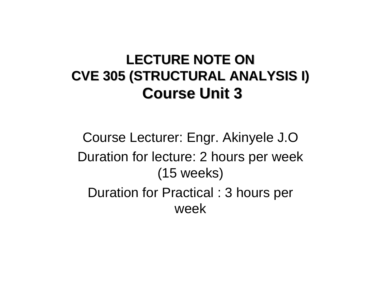#### LECTURE NOTE ON **CVE 305 (STRUCTURAL ANALYSIS I) CVE 305 (STRUCTURAL ANALYSIS I) Course Unit 3 Course Unit 3**

Course Lecturer: Engr. Akinyele J.O Duration for lecture: 2 hours per week (15 weeks) Duration for Practical : 3 hours per week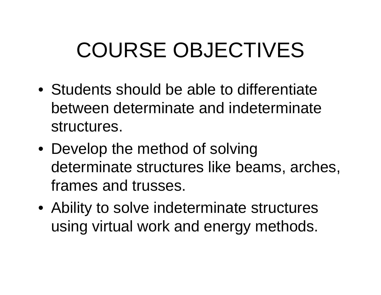# COURSE OBJECTIVES

- Students should be able to differentiate between determinate and indeterminate structures.
- Develop the method of solving determinate structures like beams, arches, frames and trusses.
- Ability to solve indeterminate structures using virtual work and energy methods.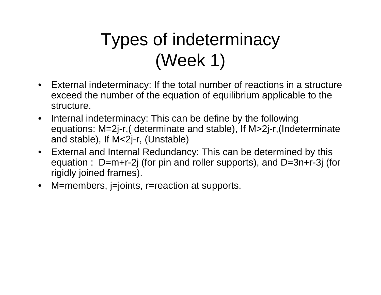#### Types of indeterminacy (Week 1)

- External indeterminacy: If the total number of reactions in a structure exceed the number of the equation of equilibrium applicable to the structure.
- $\bullet$  Internal indeterminacy: This can be define by the following equations: M=2j-r,( determinate and stable), If M>2j-r,(Indeterminate and stable), If M<2j-r, (Unstable)
- • External and Internal Redundancy: This can be determined by this equation : D=m+r-2j (for pin and roller supports), and D=3n+r-3j (for rigidly joined frames).
- M=members, j=joints, r=reaction at supports.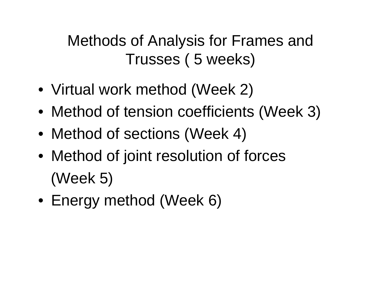Methods of Analysis for Frames and Trusses ( 5 weeks)

- Virtual work method (Week 2)
- Method of tension coefficients (Week 3)
- Method of sections (Week 4)
- Method of joint resolution of forces (Week 5)
- Energy method (Week 6)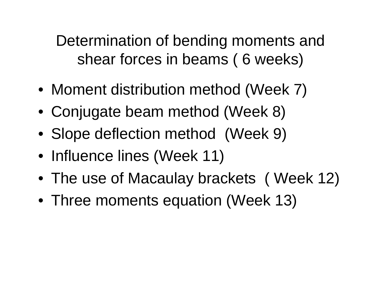Determination of bending moments and shear forces in beams ( 6 weeks)

- Moment distribution method (Week 7)
- Conjugate beam method (Week 8)
- Slope deflection method (Week 9)
- Influence lines (Week 11)
- The use of Macaulay brackets ( Week 12)
- Three moments equation (Week 13)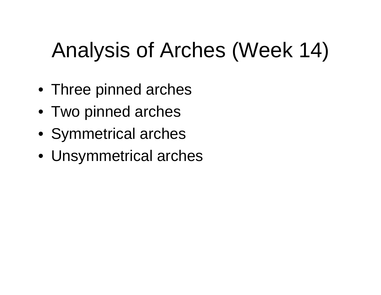# Analysis of Arches (Week 14)

- Three pinned arches
- Two pinned arches
- Symmetrical arches
- Unsymmetrical arches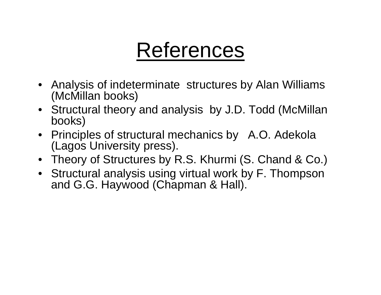## References

- Analysis of indeterminate structures by Alan Williams (McMillan books)
- Structural theory and analysis by J.D. Todd (McMillan books)
- Principles of structural mechanics by A.O. Adekola (Lagos University press).
- Theory of Structures by R.S. Khurmi (S. Chand & Co.)
- Structural analysis using virtual work by F. Thompson and G.G. Haywood (Chapman & Hall).